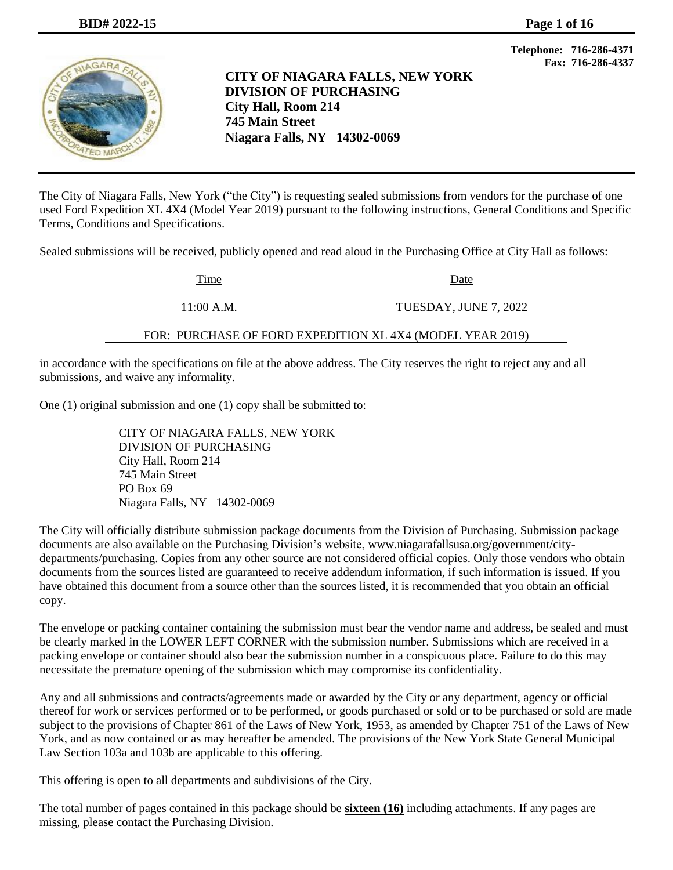

**CITY OF NIAGARA FALLS, NEW YORK DIVISION OF PURCHASING City Hall, Room 214 745 Main Street Niagara Falls, NY 14302-0069**

**Telephone: 716-286-4371 Fax: 716-286-4337**

The City of Niagara Falls, New York ("the City") is requesting sealed submissions from vendors for the purchase of one used Ford Expedition XL 4X4 (Model Year 2019) pursuant to the following instructions, General Conditions and Specific Terms, Conditions and Specifications.

Sealed submissions will be received, publicly opened and read aloud in the Purchasing Office at City Hall as follows:

| Time                                                      | Date                  |
|-----------------------------------------------------------|-----------------------|
| 11:00 A.M.                                                | TUESDAY, JUNE 7, 2022 |
| FOR: PURCHASE OF FORD EXPEDITION XL 4X4 (MODEL YEAR 2019) |                       |

in accordance with the specifications on file at the above address. The City reserves the right to reject any and all submissions, and waive any informality.

One (1) original submission and one (1) copy shall be submitted to:

CITY OF NIAGARA FALLS, NEW YORK DIVISION OF PURCHASING City Hall, Room 214 745 Main Street PO Box 69 Niagara Falls, NY 14302-0069

The City will officially distribute submission package documents from the Division of Purchasing. Submission package documents are also available on the Purchasing Division's website, [www.niagarafallsusa.org/government/city](http://www.niagarafallsusa.org/government/city-departments/purchasing)[departments/purchasing.](http://www.niagarafallsusa.org/government/city-departments/purchasing) Copies from any other source are not considered official copies. Only those vendors who obtain documents from the sources listed are guaranteed to receive addendum information, if such information is issued. If you have obtained this document from a source other than the sources listed, it is recommended that you obtain an official copy.

The envelope or packing container containing the submission must bear the vendor name and address, be sealed and must be clearly marked in the LOWER LEFT CORNER with the submission number. Submissions which are received in a packing envelope or container should also bear the submission number in a conspicuous place. Failure to do this may necessitate the premature opening of the submission which may compromise its confidentiality.

Any and all submissions and contracts/agreements made or awarded by the City or any department, agency or official thereof for work or services performed or to be performed, or goods purchased or sold or to be purchased or sold are made subject to the provisions of Chapter 861 of the Laws of New York, 1953, as amended by Chapter 751 of the Laws of New York, and as now contained or as may hereafter be amended. The provisions of the New York State General Municipal Law Section 103a and 103b are applicable to this offering.

This offering is open to all departments and subdivisions of the City.

The total number of pages contained in this package should be **sixteen (16)** including attachments. If any pages are missing, please contact the Purchasing Division.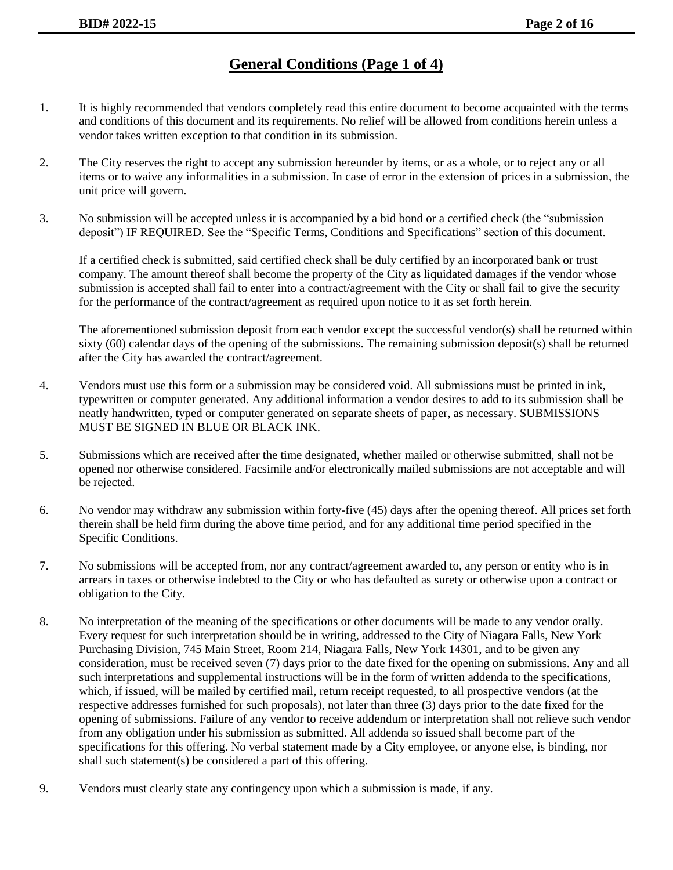# **General Conditions (Page 1 of 4)**

- 1. It is highly recommended that vendors completely read this entire document to become acquainted with the terms and conditions of this document and its requirements. No relief will be allowed from conditions herein unless a vendor takes written exception to that condition in its submission.
- 2. The City reserves the right to accept any submission hereunder by items, or as a whole, or to reject any or all items or to waive any informalities in a submission. In case of error in the extension of prices in a submission, the unit price will govern.
- 3. No submission will be accepted unless it is accompanied by a bid bond or a certified check (the "submission deposit") IF REQUIRED. See the "Specific Terms, Conditions and Specifications" section of this document.

If a certified check is submitted, said certified check shall be duly certified by an incorporated bank or trust company. The amount thereof shall become the property of the City as liquidated damages if the vendor whose submission is accepted shall fail to enter into a contract/agreement with the City or shall fail to give the security for the performance of the contract/agreement as required upon notice to it as set forth herein.

The aforementioned submission deposit from each vendor except the successful vendor(s) shall be returned within sixty (60) calendar days of the opening of the submissions. The remaining submission deposit(s) shall be returned after the City has awarded the contract/agreement.

- 4. Vendors must use this form or a submission may be considered void. All submissions must be printed in ink, typewritten or computer generated. Any additional information a vendor desires to add to its submission shall be neatly handwritten, typed or computer generated on separate sheets of paper, as necessary. SUBMISSIONS MUST BE SIGNED IN BLUE OR BLACK INK.
- 5. Submissions which are received after the time designated, whether mailed or otherwise submitted, shall not be opened nor otherwise considered. Facsimile and/or electronically mailed submissions are not acceptable and will be rejected.
- 6. No vendor may withdraw any submission within forty-five (45) days after the opening thereof. All prices set forth therein shall be held firm during the above time period, and for any additional time period specified in the Specific Conditions.
- 7. No submissions will be accepted from, nor any contract/agreement awarded to, any person or entity who is in arrears in taxes or otherwise indebted to the City or who has defaulted as surety or otherwise upon a contract or obligation to the City.
- 8. No interpretation of the meaning of the specifications or other documents will be made to any vendor orally. Every request for such interpretation should be in writing, addressed to the City of Niagara Falls, New York Purchasing Division, 745 Main Street, Room 214, Niagara Falls, New York 14301, and to be given any consideration, must be received seven (7) days prior to the date fixed for the opening on submissions. Any and all such interpretations and supplemental instructions will be in the form of written addenda to the specifications, which, if issued, will be mailed by certified mail, return receipt requested, to all prospective vendors (at the respective addresses furnished for such proposals), not later than three (3) days prior to the date fixed for the opening of submissions. Failure of any vendor to receive addendum or interpretation shall not relieve such vendor from any obligation under his submission as submitted. All addenda so issued shall become part of the specifications for this offering. No verbal statement made by a City employee, or anyone else, is binding, nor shall such statement(s) be considered a part of this offering.
- 9. Vendors must clearly state any contingency upon which a submission is made, if any.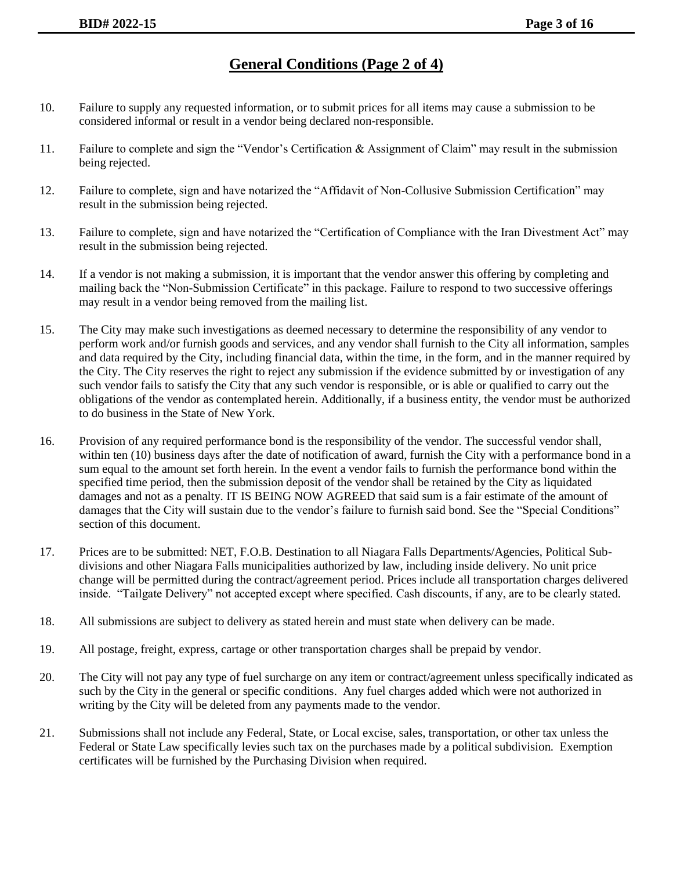# **General Conditions (Page 2 of 4)**

- 10. Failure to supply any requested information, or to submit prices for all items may cause a submission to be considered informal or result in a vendor being declared non-responsible.
- 11. Failure to complete and sign the "Vendor's Certification & Assignment of Claim" may result in the submission being rejected.
- 12. Failure to complete, sign and have notarized the "Affidavit of Non-Collusive Submission Certification" may result in the submission being rejected.
- 13. Failure to complete, sign and have notarized the "Certification of Compliance with the Iran Divestment Act" may result in the submission being rejected.
- 14. If a vendor is not making a submission, it is important that the vendor answer this offering by completing and mailing back the "Non-Submission Certificate" in this package. Failure to respond to two successive offerings may result in a vendor being removed from the mailing list.
- 15. The City may make such investigations as deemed necessary to determine the responsibility of any vendor to perform work and/or furnish goods and services, and any vendor shall furnish to the City all information, samples and data required by the City, including financial data, within the time, in the form, and in the manner required by the City. The City reserves the right to reject any submission if the evidence submitted by or investigation of any such vendor fails to satisfy the City that any such vendor is responsible, or is able or qualified to carry out the obligations of the vendor as contemplated herein. Additionally, if a business entity, the vendor must be authorized to do business in the State of New York.
- 16. Provision of any required performance bond is the responsibility of the vendor. The successful vendor shall, within ten (10) business days after the date of notification of award, furnish the City with a performance bond in a sum equal to the amount set forth herein. In the event a vendor fails to furnish the performance bond within the specified time period, then the submission deposit of the vendor shall be retained by the City as liquidated damages and not as a penalty. IT IS BEING NOW AGREED that said sum is a fair estimate of the amount of damages that the City will sustain due to the vendor's failure to furnish said bond. See the "Special Conditions" section of this document.
- 17. Prices are to be submitted: NET, F.O.B. Destination to all Niagara Falls Departments/Agencies, Political Subdivisions and other Niagara Falls municipalities authorized by law, including inside delivery. No unit price change will be permitted during the contract/agreement period. Prices include all transportation charges delivered inside. "Tailgate Delivery" not accepted except where specified. Cash discounts, if any, are to be clearly stated.
- 18. All submissions are subject to delivery as stated herein and must state when delivery can be made.
- 19. All postage, freight, express, cartage or other transportation charges shall be prepaid by vendor.
- 20. The City will not pay any type of fuel surcharge on any item or contract/agreement unless specifically indicated as such by the City in the general or specific conditions. Any fuel charges added which were not authorized in writing by the City will be deleted from any payments made to the vendor.
- 21. Submissions shall not include any Federal, State, or Local excise, sales, transportation, or other tax unless the Federal or State Law specifically levies such tax on the purchases made by a political subdivision. Exemption certificates will be furnished by the Purchasing Division when required.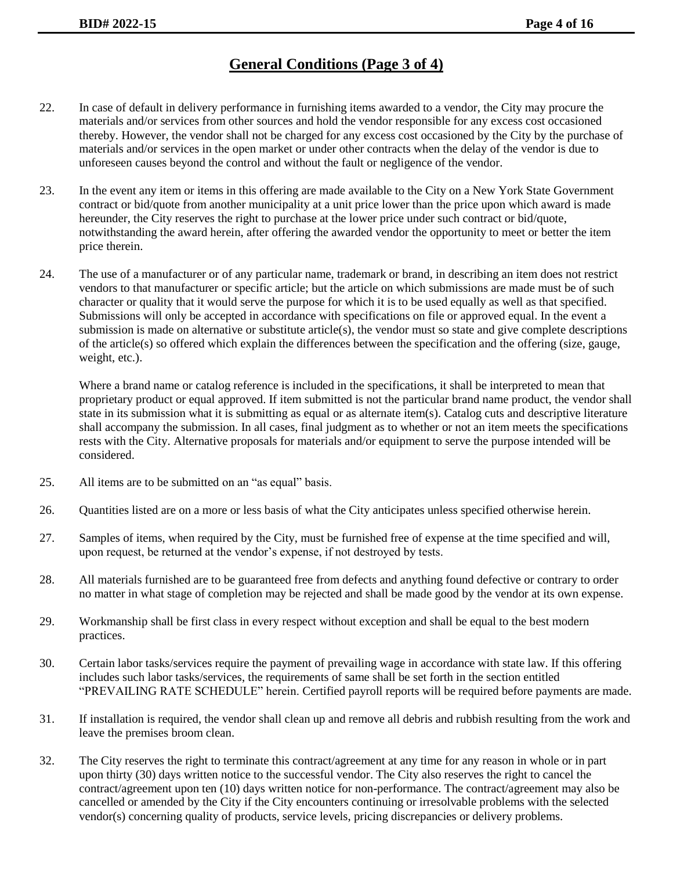# **General Conditions (Page 3 of 4)**

- 22. In case of default in delivery performance in furnishing items awarded to a vendor, the City may procure the materials and/or services from other sources and hold the vendor responsible for any excess cost occasioned thereby. However, the vendor shall not be charged for any excess cost occasioned by the City by the purchase of materials and/or services in the open market or under other contracts when the delay of the vendor is due to unforeseen causes beyond the control and without the fault or negligence of the vendor.
- 23. In the event any item or items in this offering are made available to the City on a New York State Government contract or bid/quote from another municipality at a unit price lower than the price upon which award is made hereunder, the City reserves the right to purchase at the lower price under such contract or bid/quote, notwithstanding the award herein, after offering the awarded vendor the opportunity to meet or better the item price therein.
- 24. The use of a manufacturer or of any particular name, trademark or brand, in describing an item does not restrict vendors to that manufacturer or specific article; but the article on which submissions are made must be of such character or quality that it would serve the purpose for which it is to be used equally as well as that specified. Submissions will only be accepted in accordance with specifications on file or approved equal. In the event a submission is made on alternative or substitute article(s), the vendor must so state and give complete descriptions of the article(s) so offered which explain the differences between the specification and the offering (size, gauge, weight, etc.).

Where a brand name or catalog reference is included in the specifications, it shall be interpreted to mean that proprietary product or equal approved. If item submitted is not the particular brand name product, the vendor shall state in its submission what it is submitting as equal or as alternate item(s). Catalog cuts and descriptive literature shall accompany the submission. In all cases, final judgment as to whether or not an item meets the specifications rests with the City. Alternative proposals for materials and/or equipment to serve the purpose intended will be considered.

- 25. All items are to be submitted on an "as equal" basis.
- 26. Quantities listed are on a more or less basis of what the City anticipates unless specified otherwise herein.
- 27. Samples of items, when required by the City, must be furnished free of expense at the time specified and will, upon request, be returned at the vendor's expense, if not destroyed by tests.
- 28. All materials furnished are to be guaranteed free from defects and anything found defective or contrary to order no matter in what stage of completion may be rejected and shall be made good by the vendor at its own expense.
- 29. Workmanship shall be first class in every respect without exception and shall be equal to the best modern practices.
- 30. Certain labor tasks/services require the payment of prevailing wage in accordance with state law. If this offering includes such labor tasks/services, the requirements of same shall be set forth in the section entitled "PREVAILING RATE SCHEDULE" herein. Certified payroll reports will be required before payments are made.
- 31. If installation is required, the vendor shall clean up and remove all debris and rubbish resulting from the work and leave the premises broom clean.
- 32. The City reserves the right to terminate this contract/agreement at any time for any reason in whole or in part upon thirty (30) days written notice to the successful vendor. The City also reserves the right to cancel the contract/agreement upon ten (10) days written notice for non-performance. The contract/agreement may also be cancelled or amended by the City if the City encounters continuing or irresolvable problems with the selected vendor(s) concerning quality of products, service levels, pricing discrepancies or delivery problems.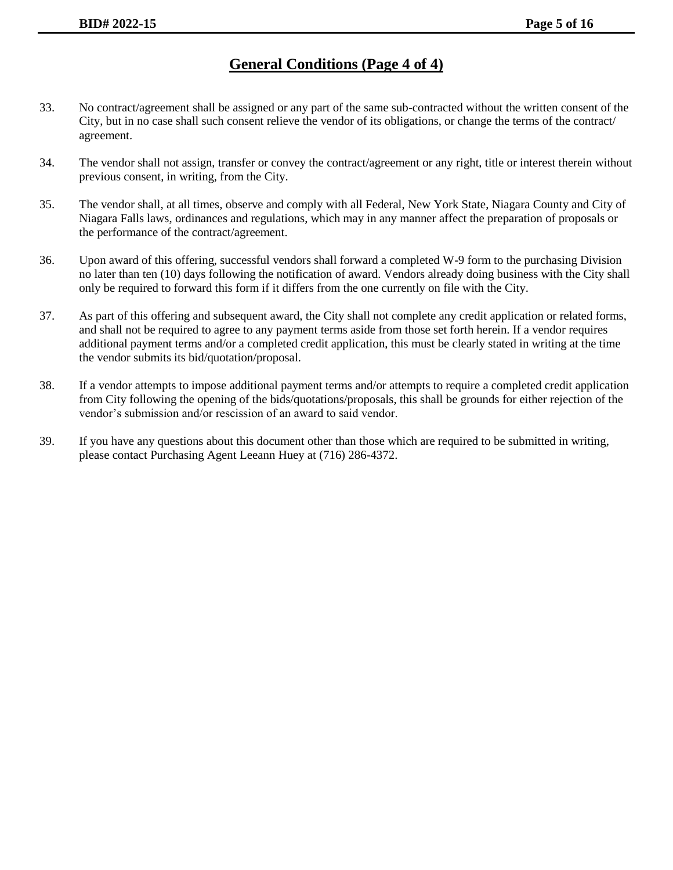## **General Conditions (Page 4 of 4)**

- 33. No contract/agreement shall be assigned or any part of the same sub-contracted without the written consent of the City, but in no case shall such consent relieve the vendor of its obligations, or change the terms of the contract/ agreement.
- 34. The vendor shall not assign, transfer or convey the contract/agreement or any right, title or interest therein without previous consent, in writing, from the City.
- 35. The vendor shall, at all times, observe and comply with all Federal, New York State, Niagara County and City of Niagara Falls laws, ordinances and regulations, which may in any manner affect the preparation of proposals or the performance of the contract/agreement.
- 36. Upon award of this offering, successful vendors shall forward a completed W-9 form to the purchasing Division no later than ten (10) days following the notification of award. Vendors already doing business with the City shall only be required to forward this form if it differs from the one currently on file with the City.
- 37. As part of this offering and subsequent award, the City shall not complete any credit application or related forms, and shall not be required to agree to any payment terms aside from those set forth herein. If a vendor requires additional payment terms and/or a completed credit application, this must be clearly stated in writing at the time the vendor submits its bid/quotation/proposal.
- 38. If a vendor attempts to impose additional payment terms and/or attempts to require a completed credit application from City following the opening of the bids/quotations/proposals, this shall be grounds for either rejection of the vendor's submission and/or rescission of an award to said vendor.
- 39. If you have any questions about this document other than those which are required to be submitted in writing, please contact Purchasing Agent Leeann Huey at (716) 286-4372.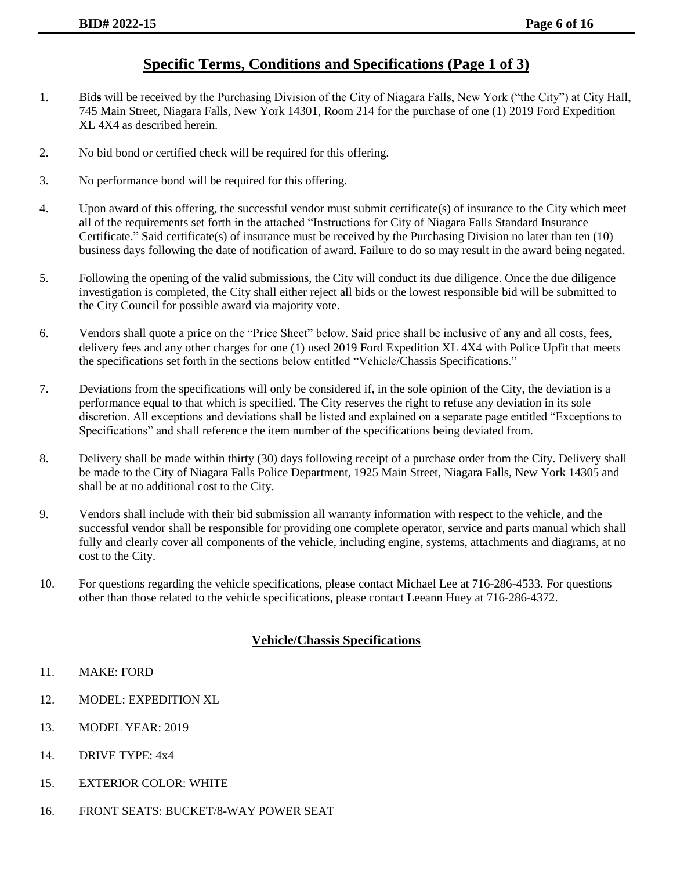#### **Specific Terms, Conditions and Specifications (Page 1 of 3)**

- 1. Bid**s** will be received by the Purchasing Division of the City of Niagara Falls, New York ("the City") at City Hall, 745 Main Street, Niagara Falls, New York 14301, Room 214 for the purchase of one (1) 2019 Ford Expedition XL 4X4 as described herein.
- 2. No bid bond or certified check will be required for this offering.
- 3. No performance bond will be required for this offering.
- 4. Upon award of this offering, the successful vendor must submit certificate(s) of insurance to the City which meet all of the requirements set forth in the attached "Instructions for City of Niagara Falls Standard Insurance Certificate." Said certificate(s) of insurance must be received by the Purchasing Division no later than ten (10) business days following the date of notification of award. Failure to do so may result in the award being negated.
- 5. Following the opening of the valid submissions, the City will conduct its due diligence. Once the due diligence investigation is completed, the City shall either reject all bids or the lowest responsible bid will be submitted to the City Council for possible award via majority vote.
- 6. Vendors shall quote a price on the "Price Sheet" below. Said price shall be inclusive of any and all costs, fees, delivery fees and any other charges for one (1) used 2019 Ford Expedition XL 4X4 with Police Upfit that meets the specifications set forth in the sections below entitled "Vehicle/Chassis Specifications."
- 7. Deviations from the specifications will only be considered if, in the sole opinion of the City, the deviation is a performance equal to that which is specified. The City reserves the right to refuse any deviation in its sole discretion. All exceptions and deviations shall be listed and explained on a separate page entitled "Exceptions to Specifications" and shall reference the item number of the specifications being deviated from.
- 8. Delivery shall be made within thirty (30) days following receipt of a purchase order from the City. Delivery shall be made to the City of Niagara Falls Police Department, 1925 Main Street, Niagara Falls, New York 14305 and shall be at no additional cost to the City.
- 9. Vendors shall include with their bid submission all warranty information with respect to the vehicle, and the successful vendor shall be responsible for providing one complete operator, service and parts manual which shall fully and clearly cover all components of the vehicle, including engine, systems, attachments and diagrams, at no cost to the City.
- 10. For questions regarding the vehicle specifications, please contact Michael Lee at 716-286-4533. For questions other than those related to the vehicle specifications, please contact Leeann Huey at 716-286-4372.

#### **Vehicle/Chassis Specifications**

- 11. MAKE: FORD
- 12. MODEL: EXPEDITION XL
- 13. MODEL YEAR: 2019
- 14. DRIVE TYPE: 4x4
- 15. EXTERIOR COLOR: WHITE
- 16. FRONT SEATS: BUCKET/8-WAY POWER SEAT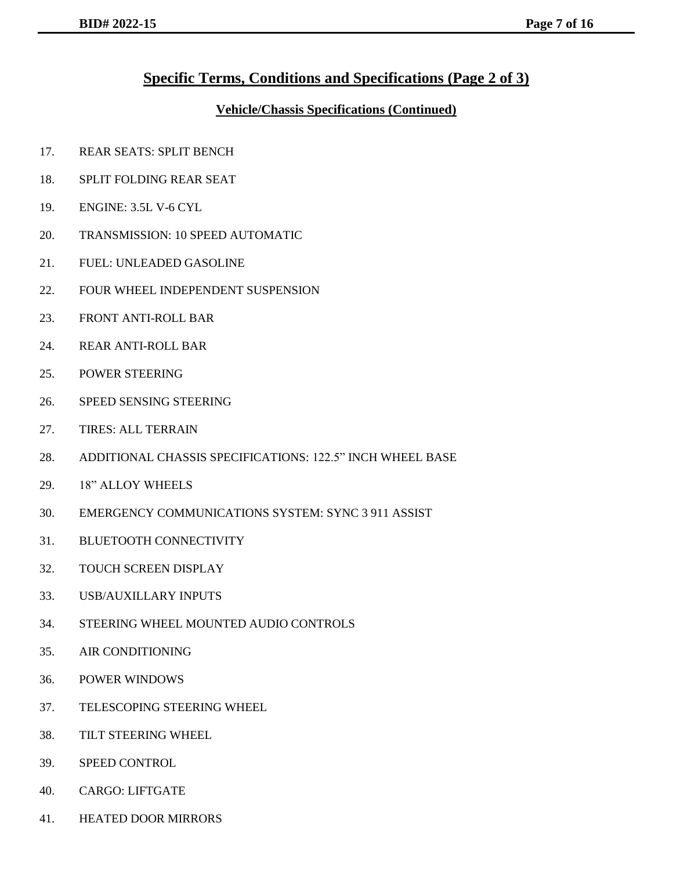#### **Specific Terms, Conditions and Specifications (Page 2 of 3)**

#### **Vehicle/Chassis Specifications (Continued)**

- 17. REAR SEATS: SPLIT BENCH
- 18. SPLIT FOLDING REAR SEAT
- 19. ENGINE: 3.5L V-6 CYL
- 20. TRANSMISSION: 10 SPEED AUTOMATIC
- 21. FUEL: UNLEADED GASOLINE
- 22. FOUR WHEEL INDEPENDENT SUSPENSION
- 23. FRONT ANTI-ROLL BAR
- 24. REAR ANTI-ROLL BAR
- 25. POWER STEERING
- 26. SPEED SENSING STEERING
- 27. TIRES: ALL TERRAIN
- 28. ADDITIONAL CHASSIS SPECIFICATIONS: 122.5" INCH WHEEL BASE
- 29. 18" ALLOY WHEELS
- 30. EMERGENCY COMMUNICATIONS SYSTEM: SYNC 3 911 ASSIST
- 31. BLUETOOTH CONNECTIVITY
- 32. TOUCH SCREEN DISPLAY
- 33. USB/AUXILLARY INPUTS
- 34. STEERING WHEEL MOUNTED AUDIO CONTROLS
- 35. AIR CONDITIONING
- 36. POWER WINDOWS
- 37. TELESCOPING STEERING WHEEL
- 38. TILT STEERING WHEEL
- 39. SPEED CONTROL
- 40. CARGO: LIFTGATE
- 41. HEATED DOOR MIRRORS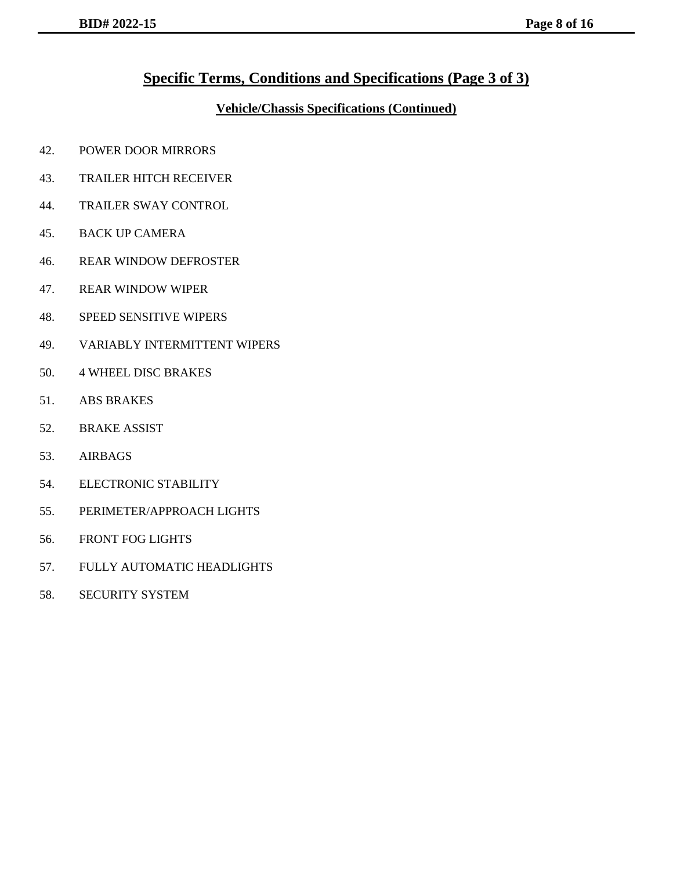### **Specific Terms, Conditions and Specifications (Page 3 of 3)**

#### **Vehicle/Chassis Specifications (Continued)**

- 42. POWER DOOR MIRRORS
- 43. TRAILER HITCH RECEIVER
- 44. TRAILER SWAY CONTROL
- 45. BACK UP CAMERA
- 46. REAR WINDOW DEFROSTER
- 47. REAR WINDOW WIPER
- 48. SPEED SENSITIVE WIPERS
- 49. VARIABLY INTERMITTENT WIPERS
- 50. 4 WHEEL DISC BRAKES
- 51. ABS BRAKES
- 52. BRAKE ASSIST
- 53. AIRBAGS
- 54. ELECTRONIC STABILITY
- 55. PERIMETER/APPROACH LIGHTS
- 56. FRONT FOG LIGHTS
- 57. FULLY AUTOMATIC HEADLIGHTS
- 58. SECURITY SYSTEM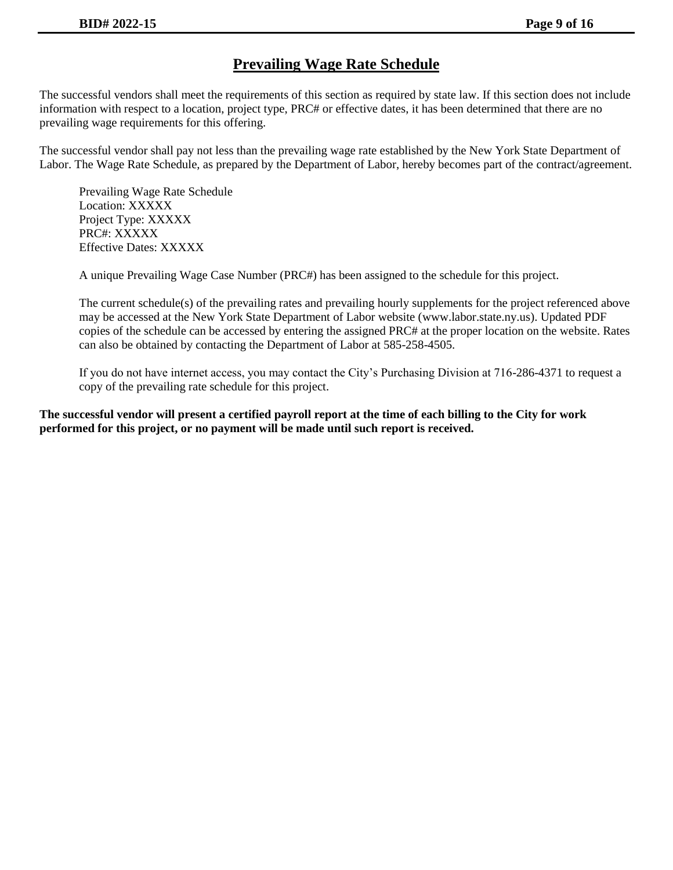## **Prevailing Wage Rate Schedule**

The successful vendors shall meet the requirements of this section as required by state law. If this section does not include information with respect to a location, project type, PRC# or effective dates, it has been determined that there are no prevailing wage requirements for this offering.

The successful vendor shall pay not less than the prevailing wage rate established by the New York State Department of Labor. The Wage Rate Schedule, as prepared by the Department of Labor, hereby becomes part of the contract/agreement.

Prevailing Wage Rate Schedule Location: XXXXX Project Type: XXXXX PRC#: XXXXX Effective Dates: XXXXX

A unique Prevailing Wage Case Number (PRC#) has been assigned to the schedule for this project.

The current schedule(s) of the prevailing rates and prevailing hourly supplements for the project referenced above may be accessed at the New York State Department of Labor website (www.labor.state.ny.us). Updated PDF copies of the schedule can be accessed by entering the assigned PRC# at the proper location on the website. Rates can also be obtained by contacting the Department of Labor at 585-258-4505.

If you do not have internet access, you may contact the City's Purchasing Division at 716-286-4371 to request a copy of the prevailing rate schedule for this project.

**The successful vendor will present a certified payroll report at the time of each billing to the City for work performed for this project, or no payment will be made until such report is received.**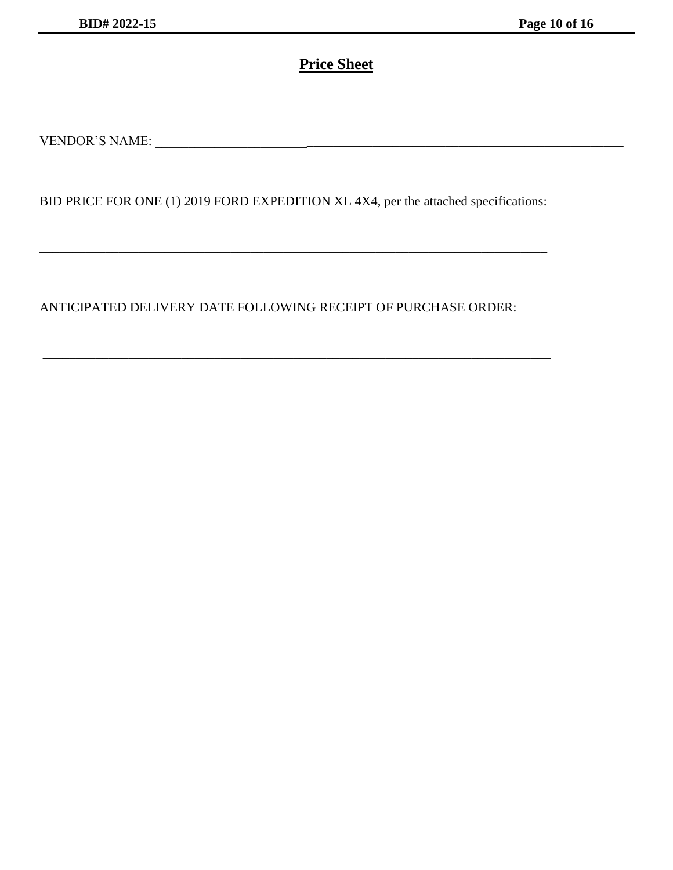# **Price Sheet**

VENDOR'S NAME: \_\_\_\_\_\_\_\_\_\_\_\_\_\_\_\_\_\_\_\_\_\_\_\_\_\_\_\_\_\_\_\_\_\_\_\_\_\_\_\_\_\_\_\_\_\_\_\_\_\_\_\_\_\_\_\_\_\_\_\_\_\_\_\_\_\_\_\_\_\_\_

BID PRICE FOR ONE (1) 2019 FORD EXPEDITION XL 4X4, per the attached specifications:

\_\_\_\_\_\_\_\_\_\_\_\_\_\_\_\_\_\_\_\_\_\_\_\_\_\_\_\_\_\_\_\_\_\_\_\_\_\_\_\_\_\_\_\_\_\_\_\_\_\_\_\_\_\_\_\_\_\_\_\_\_\_\_\_\_\_\_\_\_\_\_\_\_\_\_\_\_

\_\_\_\_\_\_\_\_\_\_\_\_\_\_\_\_\_\_\_\_\_\_\_\_\_\_\_\_\_\_\_\_\_\_\_\_\_\_\_\_\_\_\_\_\_\_\_\_\_\_\_\_\_\_\_\_\_\_\_\_\_\_\_\_\_\_\_\_\_\_\_\_\_\_\_\_\_

ANTICIPATED DELIVERY DATE FOLLOWING RECEIPT OF PURCHASE ORDER: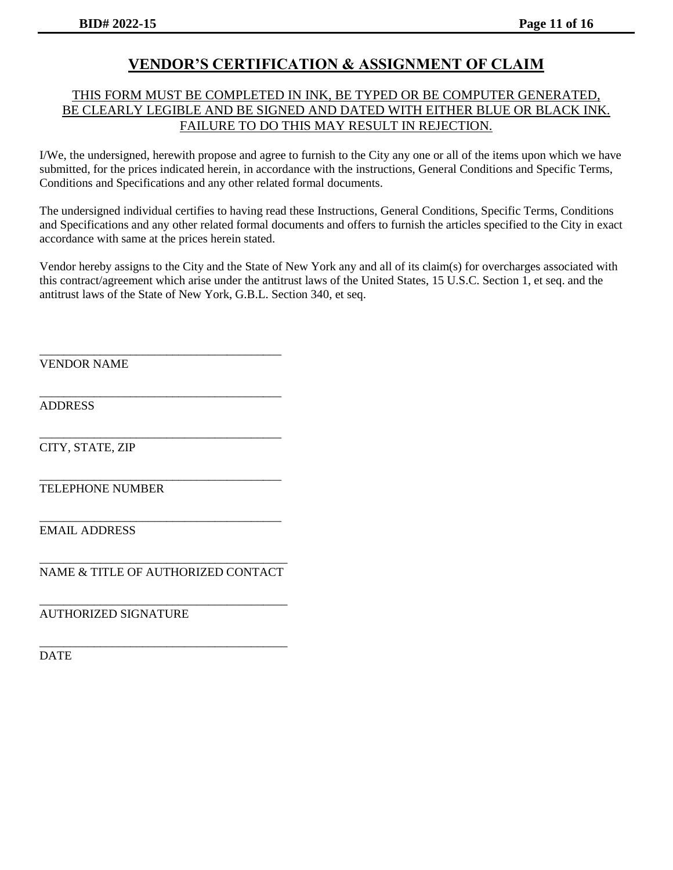### **VENDOR'S CERTIFICATION & ASSIGNMENT OF CLAIM**

#### THIS FORM MUST BE COMPLETED IN INK, BE TYPED OR BE COMPUTER GENERATED, BE CLEARLY LEGIBLE AND BE SIGNED AND DATED WITH EITHER BLUE OR BLACK INK. FAILURE TO DO THIS MAY RESULT IN REJECTION.

I/We, the undersigned, herewith propose and agree to furnish to the City any one or all of the items upon which we have submitted, for the prices indicated herein, in accordance with the instructions, General Conditions and Specific Terms, Conditions and Specifications and any other related formal documents.

The undersigned individual certifies to having read these Instructions, General Conditions, Specific Terms, Conditions and Specifications and any other related formal documents and offers to furnish the articles specified to the City in exact accordance with same at the prices herein stated.

Vendor hereby assigns to the City and the State of New York any and all of its claim(s) for overcharges associated with this contract/agreement which arise under the antitrust laws of the United States, 15 U.S.C. Section 1, et seq. and the antitrust laws of the State of New York, G.B.L. Section 340, et seq.

VENDOR NAME

ADDRESS

CITY, STATE, ZIP

\_\_\_\_\_\_\_\_\_\_\_\_\_\_\_\_\_\_\_\_\_\_\_\_\_\_\_\_\_\_\_\_\_\_\_\_\_\_\_\_ TELEPHONE NUMBER

EMAIL ADDRESS

\_\_\_\_\_\_\_\_\_\_\_\_\_\_\_\_\_\_\_\_\_\_\_\_\_\_\_\_\_\_\_\_\_\_\_\_\_\_\_\_\_ NAME & TITLE OF AUTHORIZED CONTACT

\_\_\_\_\_\_\_\_\_\_\_\_\_\_\_\_\_\_\_\_\_\_\_\_\_\_\_\_\_\_\_\_\_\_\_\_\_\_\_\_\_

\_\_\_\_\_\_\_\_\_\_\_\_\_\_\_\_\_\_\_\_\_\_\_\_\_\_\_\_\_\_\_\_\_\_\_\_\_\_\_\_\_

\_\_\_\_\_\_\_\_\_\_\_\_\_\_\_\_\_\_\_\_\_\_\_\_\_\_\_\_\_\_\_\_\_\_\_\_\_\_\_\_

\_\_\_\_\_\_\_\_\_\_\_\_\_\_\_\_\_\_\_\_\_\_\_\_\_\_\_\_\_\_\_\_\_\_\_\_\_\_\_\_

\_\_\_\_\_\_\_\_\_\_\_\_\_\_\_\_\_\_\_\_\_\_\_\_\_\_\_\_\_\_\_\_\_\_\_\_\_\_\_\_

\_\_\_\_\_\_\_\_\_\_\_\_\_\_\_\_\_\_\_\_\_\_\_\_\_\_\_\_\_\_\_\_\_\_\_\_\_\_\_\_

AUTHORIZED SIGNATURE

DATE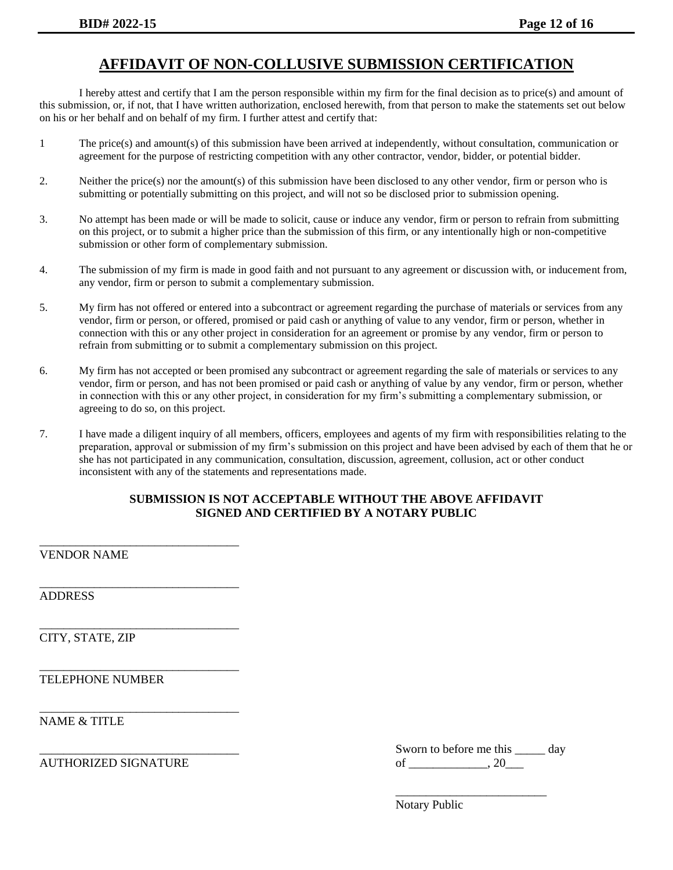## **AFFIDAVIT OF NON-COLLUSIVE SUBMISSION CERTIFICATION**

I hereby attest and certify that I am the person responsible within my firm for the final decision as to price(s) and amount of this submission, or, if not, that I have written authorization, enclosed herewith, from that person to make the statements set out below on his or her behalf and on behalf of my firm. I further attest and certify that:

- 1 The price(s) and amount(s) of this submission have been arrived at independently, without consultation, communication or agreement for the purpose of restricting competition with any other contractor, vendor, bidder, or potential bidder.
- 2. Neither the price(s) nor the amount(s) of this submission have been disclosed to any other vendor, firm or person who is submitting or potentially submitting on this project, and will not so be disclosed prior to submission opening.
- 3. No attempt has been made or will be made to solicit, cause or induce any vendor, firm or person to refrain from submitting on this project, or to submit a higher price than the submission of this firm, or any intentionally high or non-competitive submission or other form of complementary submission.
- 4. The submission of my firm is made in good faith and not pursuant to any agreement or discussion with, or inducement from, any vendor, firm or person to submit a complementary submission.
- 5. My firm has not offered or entered into a subcontract or agreement regarding the purchase of materials or services from any vendor, firm or person, or offered, promised or paid cash or anything of value to any vendor, firm or person, whether in connection with this or any other project in consideration for an agreement or promise by any vendor, firm or person to refrain from submitting or to submit a complementary submission on this project.
- 6. My firm has not accepted or been promised any subcontract or agreement regarding the sale of materials or services to any vendor, firm or person, and has not been promised or paid cash or anything of value by any vendor, firm or person, whether in connection with this or any other project, in consideration for my firm's submitting a complementary submission, or agreeing to do so, on this project.
- 7. I have made a diligent inquiry of all members, officers, employees and agents of my firm with responsibilities relating to the preparation, approval or submission of my firm's submission on this project and have been advised by each of them that he or she has not participated in any communication, consultation, discussion, agreement, collusion, act or other conduct inconsistent with any of the statements and representations made.

#### **SUBMISSION IS NOT ACCEPTABLE WITHOUT THE ABOVE AFFIDAVIT SIGNED AND CERTIFIED BY A NOTARY PUBLIC**

VENDOR NAME

\_\_\_\_\_\_\_\_\_\_\_\_\_\_\_\_\_\_\_\_\_\_\_\_\_\_\_\_\_\_\_\_\_

\_\_\_\_\_\_\_\_\_\_\_\_\_\_\_\_\_\_\_\_\_\_\_\_\_\_\_\_\_\_\_\_\_

\_\_\_\_\_\_\_\_\_\_\_\_\_\_\_\_\_\_\_\_\_\_\_\_\_\_\_\_\_\_\_\_\_

\_\_\_\_\_\_\_\_\_\_\_\_\_\_\_\_\_\_\_\_\_\_\_\_\_\_\_\_\_\_\_\_\_

\_\_\_\_\_\_\_\_\_\_\_\_\_\_\_\_\_\_\_\_\_\_\_\_\_\_\_\_\_\_\_\_\_

ADDRESS

CITY, STATE, ZIP

TELEPHONE NUMBER

NAME & TITLE

|                           | Sworn to before me this | $  -$<br>u |
|---------------------------|-------------------------|------------|
| ZED SIGNATHRE<br>AUTHORIZ | -                       |            |

\_\_\_\_\_\_\_\_\_\_\_\_\_\_\_\_\_\_\_\_\_\_\_\_\_

Notary Public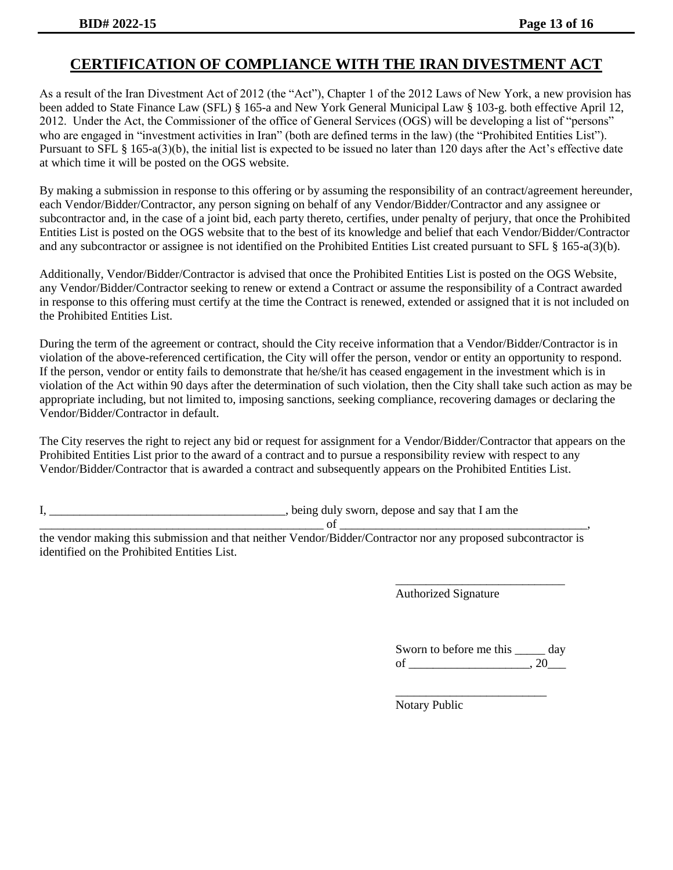### **CERTIFICATION OF COMPLIANCE WITH THE IRAN DIVESTMENT ACT**

As a result of the Iran Divestment Act of 2012 (the "Act"), Chapter 1 of the 2012 Laws of New York, a new provision has been added to State Finance Law (SFL) § 165-a and New York General Municipal Law § 103-g. both effective April 12, 2012. Under the Act, the Commissioner of the office of General Services (OGS) will be developing a list of "persons" who are engaged in "investment activities in Iran" (both are defined terms in the law) (the "Prohibited Entities List"). Pursuant to SFL § 165-a(3)(b), the initial list is expected to be issued no later than 120 days after the Act's effective date at which time it will be posted on the OGS website.

By making a submission in response to this offering or by assuming the responsibility of an contract/agreement hereunder, each Vendor/Bidder/Contractor, any person signing on behalf of any Vendor/Bidder/Contractor and any assignee or subcontractor and, in the case of a joint bid, each party thereto, certifies, under penalty of perjury, that once the Prohibited Entities List is posted on the OGS website that to the best of its knowledge and belief that each Vendor/Bidder/Contractor and any subcontractor or assignee is not identified on the Prohibited Entities List created pursuant to SFL § 165-a(3)(b).

Additionally, Vendor/Bidder/Contractor is advised that once the Prohibited Entities List is posted on the OGS Website, any Vendor/Bidder/Contractor seeking to renew or extend a Contract or assume the responsibility of a Contract awarded in response to this offering must certify at the time the Contract is renewed, extended or assigned that it is not included on the Prohibited Entities List.

During the term of the agreement or contract, should the City receive information that a Vendor/Bidder/Contractor is in violation of the above-referenced certification, the City will offer the person, vendor or entity an opportunity to respond. If the person, vendor or entity fails to demonstrate that he/she/it has ceased engagement in the investment which is in violation of the Act within 90 days after the determination of such violation, then the City shall take such action as may be appropriate including, but not limited to, imposing sanctions, seeking compliance, recovering damages or declaring the Vendor/Bidder/Contractor in default.

The City reserves the right to reject any bid or request for assignment for a Vendor/Bidder/Contractor that appears on the Prohibited Entities List prior to the award of a contract and to pursue a responsibility review with respect to any Vendor/Bidder/Contractor that is awarded a contract and subsequently appears on the Prohibited Entities List.

I, \_\_\_\_\_\_\_\_\_\_\_\_\_\_\_\_\_\_\_\_\_\_\_\_\_\_\_\_\_\_\_\_\_\_\_\_\_\_\_, being duly sworn, depose and say that I am the

\_\_\_\_\_\_\_\_\_\_\_\_\_\_\_\_\_\_\_\_\_\_\_\_\_\_\_\_\_\_\_\_\_\_\_\_\_\_\_\_\_\_\_\_\_\_\_ of \_\_\_\_\_\_\_\_\_\_\_\_\_\_\_\_\_\_\_\_\_\_\_\_\_\_\_\_\_\_\_\_\_\_\_\_\_\_\_\_\_,

the vendor making this submission and that neither Vendor/Bidder/Contractor nor any proposed subcontractor is identified on the Prohibited Entities List.

Authorized Signature

| Sworn to before me this | dav |
|-------------------------|-----|
| of                      |     |

\_\_\_\_\_\_\_\_\_\_\_\_\_\_\_\_\_\_\_\_\_\_\_\_\_

\_\_\_\_\_\_\_\_\_\_\_\_\_\_\_\_\_\_\_\_\_\_\_\_\_\_\_\_

Notary Public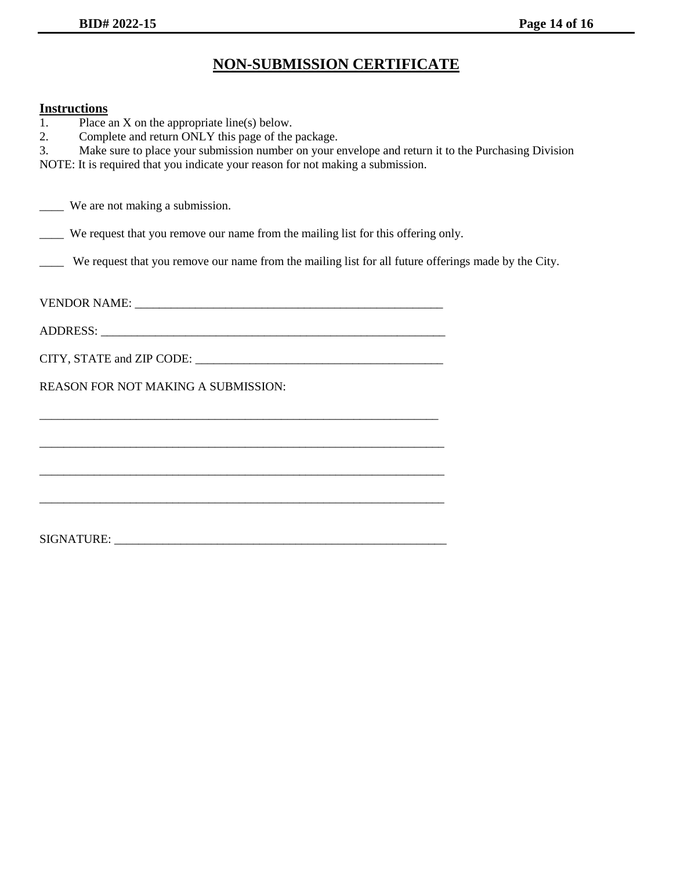# **NON-SUBMISSION CERTIFICATE**

#### **Instructions**

| <b>Instructions</b>                                                                                       |
|-----------------------------------------------------------------------------------------------------------|
| Place an $X$ on the appropriate line(s) below.<br>1.                                                      |
| Complete and return ONLY this page of the package.<br>2.                                                  |
| Make sure to place your submission number on your envelope and return it to the Purchasing Division<br>3. |
| NOTE: It is required that you indicate your reason for not making a submission.                           |
|                                                                                                           |
| _____ We are not making a submission.                                                                     |
|                                                                                                           |
| We request that you remove our name from the mailing list for this offering only.                         |
| We request that you remove our name from the mailing list for all future offerings made by the City.      |
|                                                                                                           |
|                                                                                                           |
|                                                                                                           |
|                                                                                                           |
|                                                                                                           |
|                                                                                                           |
| <b>REASON FOR NOT MAKING A SUBMISSION:</b>                                                                |
|                                                                                                           |
|                                                                                                           |

\_\_\_\_\_\_\_\_\_\_\_\_\_\_\_\_\_\_\_\_\_\_\_\_\_\_\_\_\_\_\_\_\_\_\_\_\_\_\_\_\_\_\_\_\_\_\_\_\_\_\_\_\_\_\_\_\_\_\_\_\_\_\_\_\_\_\_

\_\_\_\_\_\_\_\_\_\_\_\_\_\_\_\_\_\_\_\_\_\_\_\_\_\_\_\_\_\_\_\_\_\_\_\_\_\_\_\_\_\_\_\_\_\_\_\_\_\_\_\_\_\_\_\_\_\_\_\_\_\_\_\_\_\_\_

\_\_\_\_\_\_\_\_\_\_\_\_\_\_\_\_\_\_\_\_\_\_\_\_\_\_\_\_\_\_\_\_\_\_\_\_\_\_\_\_\_\_\_\_\_\_\_\_\_\_\_\_\_\_\_\_\_\_\_\_\_\_\_\_\_\_\_

SIGNATURE: \_\_\_\_\_\_\_\_\_\_\_\_\_\_\_\_\_\_\_\_\_\_\_\_\_\_\_\_\_\_\_\_\_\_\_\_\_\_\_\_\_\_\_\_\_\_\_\_\_\_\_\_\_\_\_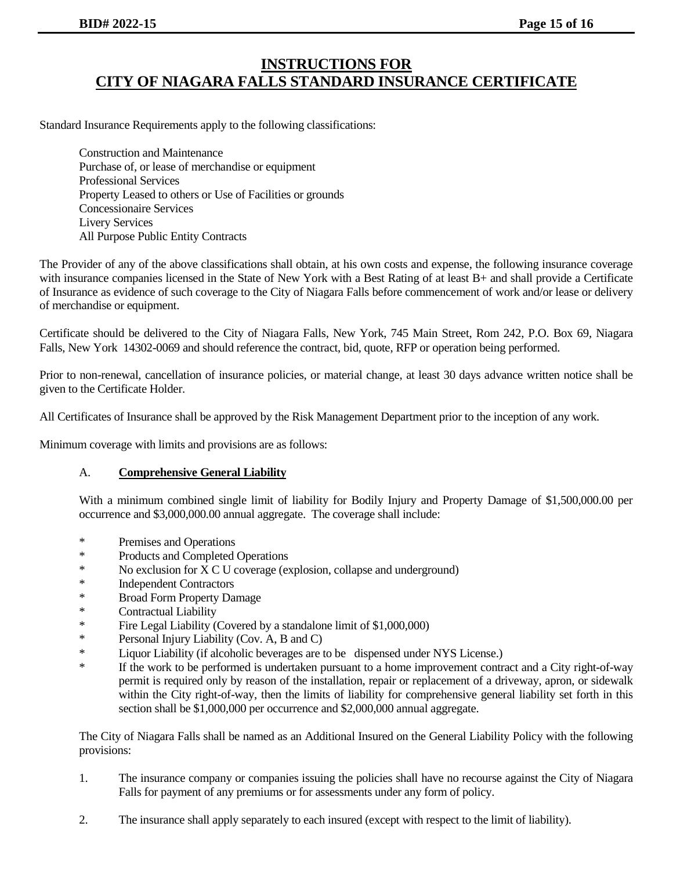#### **INSTRUCTIONS FOR CITY OF NIAGARA FALLS STANDARD INSURANCE CERTIFICATE**

Standard Insurance Requirements apply to the following classifications:

Construction and Maintenance Purchase of, or lease of merchandise or equipment Professional Services Property Leased to others or Use of Facilities or grounds Concessionaire Services Livery Services All Purpose Public Entity Contracts

The Provider of any of the above classifications shall obtain, at his own costs and expense, the following insurance coverage with insurance companies licensed in the State of New York with a Best Rating of at least B+ and shall provide a Certificate of Insurance as evidence of such coverage to the City of Niagara Falls before commencement of work and/or lease or delivery of merchandise or equipment.

Certificate should be delivered to the City of Niagara Falls, New York, 745 Main Street, Rom 242, P.O. Box 69, Niagara Falls, New York 14302-0069 and should reference the contract, bid, quote, RFP or operation being performed.

Prior to non-renewal, cancellation of insurance policies, or material change, at least 30 days advance written notice shall be given to the Certificate Holder.

All Certificates of Insurance shall be approved by the Risk Management Department prior to the inception of any work.

Minimum coverage with limits and provisions are as follows:

#### A. **Comprehensive General Liability**

With a minimum combined single limit of liability for Bodily Injury and Property Damage of \$1,500,000.00 per occurrence and \$3,000,000.00 annual aggregate. The coverage shall include:

- \* Premises and Operations
- \* Products and Completed Operations
- \* No exclusion for X C U coverage (explosion, collapse and underground)
- \* Independent Contractors
- \* Broad Form Property Damage
- Contractual Liability
- \* Fire Legal Liability (Covered by a standalone limit of \$1,000,000)
- \* Personal Injury Liability (Cov. A, B and C)
- \* Liquor Liability (if alcoholic beverages are to be dispensed under NYS License.)
- \* If the work to be performed is undertaken pursuant to a home improvement contract and a City right-of-way permit is required only by reason of the installation, repair or replacement of a driveway, apron, or sidewalk within the City right-of-way, then the limits of liability for comprehensive general liability set forth in this section shall be \$1,000,000 per occurrence and \$2,000,000 annual aggregate.

The City of Niagara Falls shall be named as an Additional Insured on the General Liability Policy with the following provisions:

- 1. The insurance company or companies issuing the policies shall have no recourse against the City of Niagara Falls for payment of any premiums or for assessments under any form of policy.
- 2. The insurance shall apply separately to each insured (except with respect to the limit of liability).